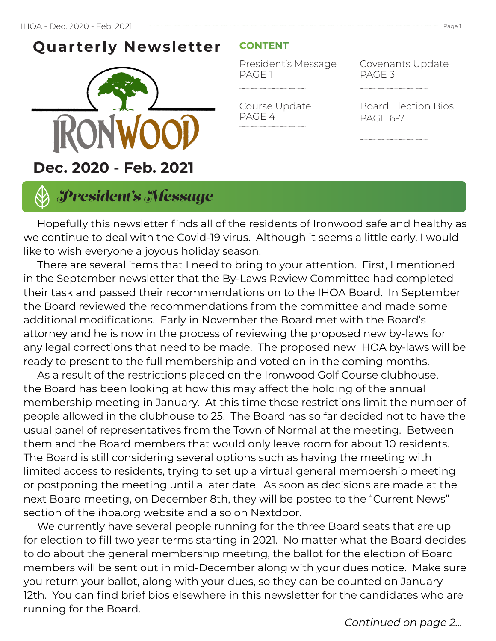### **Quarterly Newsletter**



### **CONTENT**

President's Message PAGE 1

Course Update

PAGE 4

Covenants Update PAGE 3

Board Election Bios PAGE 6-7

## *President's Message*

 Hopefully this newsletter finds all of the residents of Ironwood safe and healthy as we continue to deal with the Covid-19 virus. Although it seems a little early, I would like to wish everyone a joyous holiday season.

 There are several items that I need to bring to your attention. First, I mentioned in the September newsletter that the By-Laws Review Committee had completed their task and passed their recommendations on to the IHOA Board. In September the Board reviewed the recommendations from the committee and made some additional modifications. Early in November the Board met with the Board's attorney and he is now in the process of reviewing the proposed new by-laws for any legal corrections that need to be made. The proposed new IHOA by-laws will be ready to present to the full membership and voted on in the coming months.

 As a result of the restrictions placed on the Ironwood Golf Course clubhouse, the Board has been looking at how this may affect the holding of the annual membership meeting in January. At this time those restrictions limit the number of people allowed in the clubhouse to 25. The Board has so far decided not to have the usual panel of representatives from the Town of Normal at the meeting. Between them and the Board members that would only leave room for about 10 residents. The Board is still considering several options such as having the meeting with limited access to residents, trying to set up a virtual general membership meeting or postponing the meeting until a later date. As soon as decisions are made at the next Board meeting, on December 8th, they will be posted to the "Current News" section of the ihoa.org website and also on Nextdoor.

 We currently have several people running for the three Board seats that are up for election to fill two year terms starting in 2021. No matter what the Board decides to do about the general membership meeting, the ballot for the election of Board members will be sent out in mid-December along with your dues notice. Make sure you return your ballot, along with your dues, so they can be counted on January 12th. You can find brief bios elsewhere in this newsletter for the candidates who are running for the Board.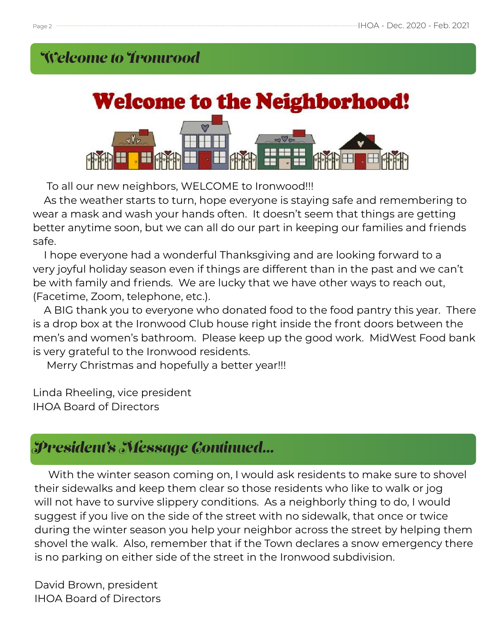## *Welcome to Ironwood*



To all our new neighbors, WELCOME to Ironwood!!!

 As the weather starts to turn, hope everyone is staying safe and remembering to wear a mask and wash your hands often. It doesn't seem that things are getting better anytime soon, but we can all do our part in keeping our families and friends safe.

 I hope everyone had a wonderful Thanksgiving and are looking forward to a very joyful holiday season even if things are different than in the past and we can't be with family and friends. We are lucky that we have other ways to reach out, (Facetime, Zoom, telephone, etc.).

 A BIG thank you to everyone who donated food to the food pantry this year. There is a drop box at the Ironwood Club house right inside the front doors between the men's and women's bathroom. Please keep up the good work. MidWest Food bank is very grateful to the Ironwood residents.

Merry Christmas and hopefully a better year!!!

Linda Rheeling, vice president IHOA Board of Directors

## *President's Message Continued...*

 With the winter season coming on, I would ask residents to make sure to shovel their sidewalks and keep them clear so those residents who like to walk or jog will not have to survive slippery conditions. As a neighborly thing to do, I would suggest if you live on the side of the street with no sidewalk, that once or twice during the winter season you help your neighbor across the street by helping them shovel the walk. Also, remember that if the Town declares a snow emergency there is no parking on either side of the street in the Ironwood subdivision.

David Brown, president IHOA Board of Directors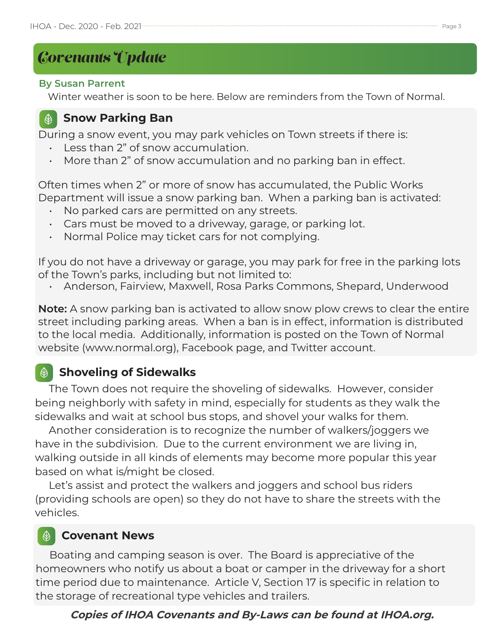# *Covenants Update*

#### **By Susan Parrent**

Winter weather is soon to be here. Below are reminders from the Town of Normal.

#### **Snow Parking Ban**  $\bigcirc$

During a snow event, you may park vehicles on Town streets if there is:

- Less than 2" of snow accumulation.
- More than 2" of snow accumulation and no parking ban in effect.

Often times when 2" or more of snow has accumulated, the Public Works Department will issue a snow parking ban. When a parking ban is activated:

- No parked cars are permitted on any streets.
- Cars must be moved to a driveway, garage, or parking lot.
- Normal Police may ticket cars for not complying.

If you do not have a driveway or garage, you may park for free in the parking lots of the Town's parks, including but not limited to:

• Anderson, Fairview, Maxwell, Rosa Parks Commons, Shepard, Underwood

**Note:** A snow parking ban is activated to allow snow plow crews to clear the entire street including parking areas. When a ban is in effect, information is distributed to the local media. Additionally, information is posted on the Town of Normal website (www.normal.org), Facebook page, and Twitter account.

### **Shoveling of Sidewalks**

 The Town does not require the shoveling of sidewalks. However, consider being neighborly with safety in mind, especially for students as they walk the sidewalks and wait at school bus stops, and shovel your walks for them.

 Another consideration is to recognize the number of walkers/joggers we have in the subdivision. Due to the current environment we are living in, walking outside in all kinds of elements may become more popular this year based on what is/might be closed.

 Let's assist and protect the walkers and joggers and school bus riders (providing schools are open) so they do not have to share the streets with the vehicles.

### $\circledR$

### **Covenant News**

 Boating and camping season is over. The Board is appreciative of the homeowners who notify us about a boat or camper in the driveway for a short time period due to maintenance. Article V, Section 17 is specific in relation to the storage of recreational type vehicles and trailers.

### **Copies of IHOA Covenants and By-Laws can be found at IHOA.org.**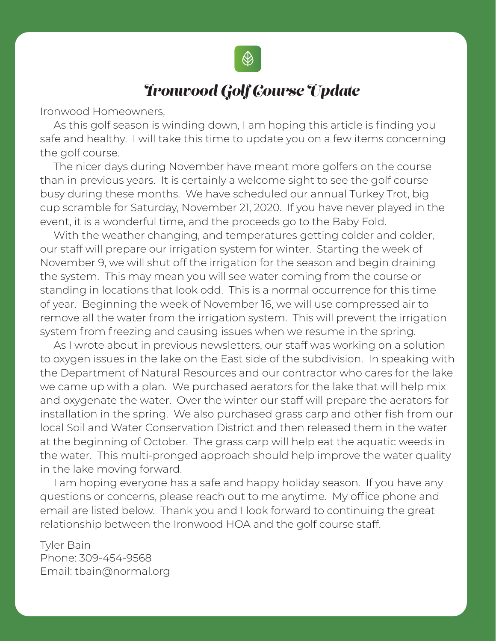

### *Ironwood Golf Course Update*

Ironwood Homeowners,

 As this golf season is winding down, I am hoping this article is finding you safe and healthy. I will take this time to update you on a few items concerning the golf course.

 The nicer days during November have meant more golfers on the course than in previous years. It is certainly a welcome sight to see the golf course busy during these months. We have scheduled our annual Turkey Trot, big cup scramble for Saturday, November 21, 2020. If you have never played in the event, it is a wonderful time, and the proceeds go to the Baby Fold.

With the weather changing, and temperatures getting colder and colder, our staff will prepare our irrigation system for winter. Starting the week of November 9, we will shut off the irrigation for the season and begin draining the system. This may mean you will see water coming from the course or standing in locations that look odd. This is a normal occurrence for this time of year. Beginning the week of November 16, we will use compressed air to remove all the water from the irrigation system. This will prevent the irrigation system from freezing and causing issues when we resume in the spring.

 As I wrote about in previous newsletters, our staff was working on a solution to oxygen issues in the lake on the East side of the subdivision. In speaking with the Department of Natural Resources and our contractor who cares for the lake we came up with a plan. We purchased aerators for the lake that will help mix and oxygenate the water. Over the winter our staff will prepare the aerators for installation in the spring. We also purchased grass carp and other fish from our local Soil and Water Conservation District and then released them in the water at the beginning of October. The grass carp will help eat the aquatic weeds in the water. This multi-pronged approach should help improve the water quality in the lake moving forward.

 I am hoping everyone has a safe and happy holiday season. If you have any questions or concerns, please reach out to me anytime. My office phone and email are listed below. Thank you and I look forward to continuing the great relationship between the Ironwood HOA and the golf course staff.

Tyler Bain Phone: 309-454-9568 Email: tbain@normal.org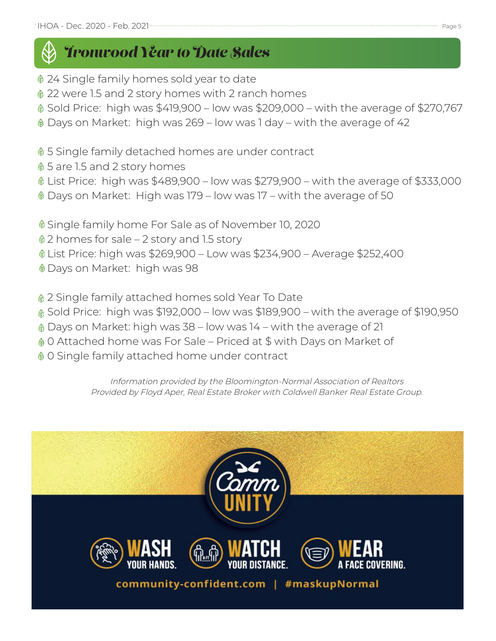# *Ironwood Year to Date Sales*

- 24 Single family homes sold year to date
- 22 were 1.5 and 2 story homes with 2 ranch homes
- Sold Price: high was \$419,900 low was \$209,000 with the average of \$270,767
- Days on Market: high was 269 low was 1 day with the average of 42
- 5 Single family detached homes are under contract
- $$5$  are 1.5 and 2 story homes
- List Price: high was \$489,900 low was \$279,900 with the average of \$333,000
- Days on Market: High was 179 low was 17 with the average of 50
- Single family home For Sale as of November 10, 2020
- 2 homes for sale 2 story and 1.5 story
- List Price: high was \$269,900 Low was \$234,900 Average \$252,400
- Days on Market: high was 98
- 2 Single family attached homes sold Year To Date
- Sold Price: high was \$192,000 low was \$189,900 with the average of \$190,950
- Days on Market: high was 38 low was 14 with the average of 21
- 0 Attached home was For Sale Priced at \$ with Days on Market of
- 0 Single family attached home under contract

Information provided by the Bloomington-Normal Association of Realtors Provided by Floyd Aper, Real Estate Broker with Coldwell Banker Real Estate Group.

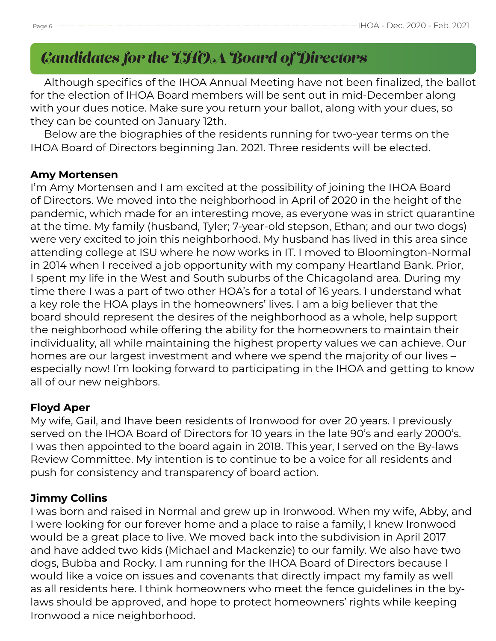### *Candidates for the IHOA Board of Directors*

 Although specifics of the IHOA Annual Meeting have not been finalized, the ballot for the election of IHOA Board members will be sent out in mid-December along with your dues notice. Make sure you return your ballot, along with your dues, so they can be counted on January 12th.

 Below are the biographies of the residents running for two-year terms on the IHOA Board of Directors beginning Jan. 2021. Three residents will be elected.

#### **Amy Mortensen**

I'm Amy Mortensen and I am excited at the possibility of joining the IHOA Board of Directors. We moved into the neighborhood in April of 2020 in the height of the pandemic, which made for an interesting move, as everyone was in strict quarantine at the time. My family (husband, Tyler; 7-year-old stepson, Ethan; and our two dogs) were very excited to join this neighborhood. My husband has lived in this area since attending college at ISU where he now works in IT. I moved to Bloomington-Normal in 2014 when I received a job opportunity with my company Heartland Bank. Prior, I spent my life in the West and South suburbs of the Chicagoland area. During my time there I was a part of two other HOA's for a total of 16 years. I understand what a key role the HOA plays in the homeowners' lives. I am a big believer that the board should represent the desires of the neighborhood as a whole, help support the neighborhood while offering the ability for the homeowners to maintain their individuality, all while maintaining the highest property values we can achieve. Our homes are our largest investment and where we spend the majority of our lives – especially now! I'm looking forward to participating in the IHOA and getting to know all of our new neighbors.

#### **Floyd Aper**

My wife, Gail, and Ihave been residents of Ironwood for over 20 years. I previously served on the IHOA Board of Directors for 10 years in the late 90's and early 2000's. I was then appointed to the board again in 2018. This year, I served on the By-laws Review Committee. My intention is to continue to be a voice for all residents and push for consistency and transparency of board action.

#### **Jimmy Collins**

I was born and raised in Normal and grew up in Ironwood. When my wife, Abby, and I were looking for our forever home and a place to raise a family, I knew Ironwood would be a great place to live. We moved back into the subdivision in April 2017 and have added two kids (Michael and Mackenzie) to our family. We also have two dogs, Bubba and Rocky. I am running for the IHOA Board of Directors because I would like a voice on issues and covenants that directly impact my family as well as all residents here. I think homeowners who meet the fence guidelines in the bylaws should be approved, and hope to protect homeowners' rights while keeping Ironwood a nice neighborhood.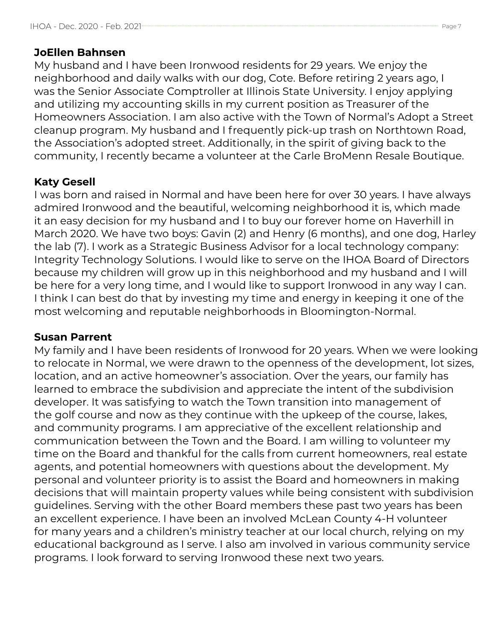#### **JoEllen Bahnsen**

My husband and I have been Ironwood residents for 29 years. We enjoy the neighborhood and daily walks with our dog, Cote. Before retiring 2 years ago, I was the Senior Associate Comptroller at Illinois State University. I enjoy applying and utilizing my accounting skills in my current position as Treasurer of the Homeowners Association. I am also active with the Town of Normal's Adopt a Street cleanup program. My husband and I frequently pick-up trash on Northtown Road, the Association's adopted street. Additionally, in the spirit of giving back to the community, I recently became a volunteer at the Carle BroMenn Resale Boutique.

### **Katy Gesell**

I was born and raised in Normal and have been here for over 30 years. I have always admired Ironwood and the beautiful, welcoming neighborhood it is, which made it an easy decision for my husband and I to buy our forever home on Haverhill in March 2020. We have two boys: Gavin (2) and Henry (6 months), and one dog, Harley the lab (7). I work as a Strategic Business Advisor for a local technology company: Integrity Technology Solutions. I would like to serve on the IHOA Board of Directors because my children will grow up in this neighborhood and my husband and I will be here for a very long time, and I would like to support Ironwood in any way I can. I think I can best do that by investing my time and energy in keeping it one of the most welcoming and reputable neighborhoods in Bloomington-Normal.

#### **Susan Parrent**

My family and I have been residents of Ironwood for 20 years. When we were looking to relocate in Normal, we were drawn to the openness of the development, lot sizes, location, and an active homeowner's association. Over the years, our family has learned to embrace the subdivision and appreciate the intent of the subdivision developer. It was satisfying to watch the Town transition into management of the golf course and now as they continue with the upkeep of the course, lakes, and community programs. I am appreciative of the excellent relationship and communication between the Town and the Board. I am willing to volunteer my time on the Board and thankful for the calls from current homeowners, real estate agents, and potential homeowners with questions about the development. My personal and volunteer priority is to assist the Board and homeowners in making decisions that will maintain property values while being consistent with subdivision guidelines. Serving with the other Board members these past two years has been an excellent experience. I have been an involved McLean County 4-H volunteer for many years and a children's ministry teacher at our local church, relying on my educational background as I serve. I also am involved in various community service programs. I look forward to serving Ironwood these next two years.